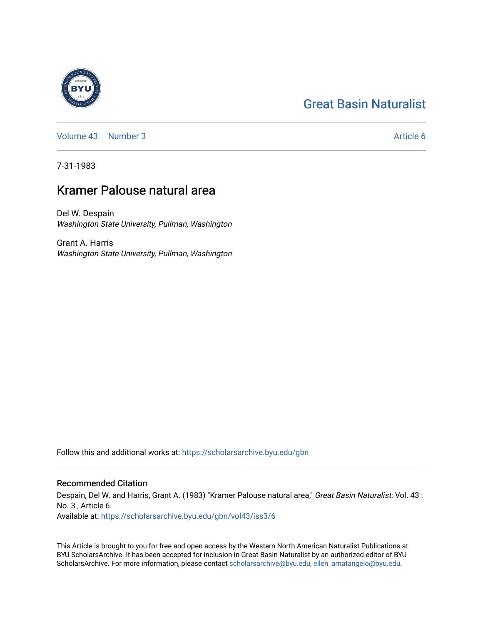# [Great Basin Naturalist](https://scholarsarchive.byu.edu/gbn)



[Volume 43](https://scholarsarchive.byu.edu/gbn/vol43) [Number 3](https://scholarsarchive.byu.edu/gbn/vol43/iss3) Article 6

7-31-1983

# Kramer Palouse natural area

Del W. Despain Washington State University, Pullman, Washington

Grant A. Harris Washington State University, Pullman, Washington

Follow this and additional works at: [https://scholarsarchive.byu.edu/gbn](https://scholarsarchive.byu.edu/gbn?utm_source=scholarsarchive.byu.edu%2Fgbn%2Fvol43%2Fiss3%2F6&utm_medium=PDF&utm_campaign=PDFCoverPages) 

# Recommended Citation

Despain, Del W. and Harris, Grant A. (1983) "Kramer Palouse natural area," Great Basin Naturalist: Vol. 43 : No. 3 , Article 6.

Available at: [https://scholarsarchive.byu.edu/gbn/vol43/iss3/6](https://scholarsarchive.byu.edu/gbn/vol43/iss3/6?utm_source=scholarsarchive.byu.edu%2Fgbn%2Fvol43%2Fiss3%2F6&utm_medium=PDF&utm_campaign=PDFCoverPages)

This Article is brought to you for free and open access by the Western North American Naturalist Publications at BYU ScholarsArchive. It has been accepted for inclusion in Great Basin Naturalist by an authorized editor of BYU ScholarsArchive. For more information, please contact [scholarsarchive@byu.edu, ellen\\_amatangelo@byu.edu.](mailto:scholarsarchive@byu.edu,%20ellen_amatangelo@byu.edu)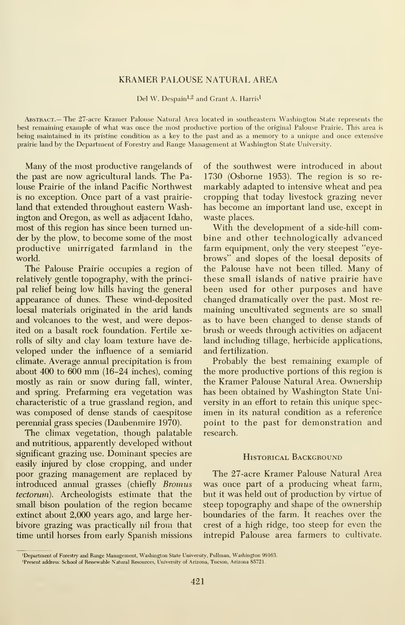### KRAMER PALOUSE NATURAL AREA

Del W. Despain<sup>1,2</sup> and Grant A. Harris<sup>1</sup>

Abstract.— The 27-acre Kramer Palouse Natural Area located in southeastern Washington State represents the best remaining example of what was once the most productive portion of the original Palouse Prairie. This area is being maintained in its pristine condition as a key to the past and as a memory to a unique and once extensive prairie land by the Department of Forestry and Range Management at Washington State University.

Many of the most productive rangelands of the past are now agricultural lands. The Palouse Prairie of the inland Pacific Northwest is no exception. Once part of a vast prairieland that extended throughout eastern Washington and Oregon, as well as adjacent Idaho, most of this region has since been turned under by the plow, to become some of the most productive unirrigated farmland in the world.

The Palouse Prairie occupies a region of relatively gentle topography, with the principal relief being low hills having the general appearance of dunes. These wind-deposited loesal materials originated in the arid lands and volcanoes to the west, and were deposited on a basalt rock foundation. Fertile xerolls of silty and clay loam texture have de veloped under the influence of a semiarid climate. Average armual precipitation is from about 400 to  $600 \text{ mm}$  (16-24 inches), coming mostly as rain or snow during fall, winter, and spring. Prefarming era vegetation was characteristic of a true grassland region, and was composed of dense stands of caespitose perennial grass species (Daubenmire 1970).

The climax vegetation, though palatable and nutritious, apparently developed without significant grazing use. Dominant species are easily injured by close cropping, and under poor grazing management are replaced by introduced annual grasses (chiefly Bromus tectorum). Archeologists estimate that the small bison poulation of the region became extinct about 2,000 years ago, and large her bivore grazing was practically nil from that time until horses from early Spanish missions of the southwest were introduced in about 1730 (Osborne 1953). The region is so re markably adapted to intensive wheat and pea cropping that today livestock grazing never has become an important land use, except in waste places.

With the development of a side-hill combine and other technologically advanced farm equipment, only the very steepest "eyebrows" and slopes of the loesal deposits of the Palouse have not been tilled. Many of these small islands of native prairie have been used for other purposes and have changed dramatically over the past. Most re maining uncultivated segments are so small as to have been changed to dense stands of brush or weeds through activities on adjacent land including tillage, herbicide applications, and fertilization.

Probably the best remaining example of the more productive portions of this region is the Kramer Palouse Natural Area. Ownership has been obtained by Washington State University in an effort to retain this unique spec imen in its natural condition as a reference point to the past for demonstration and research.

#### HISTORICAL BACKGROUND

The 27-acre Kramer Palouse Natural Area was once part of a producing wheat farm, but it was held out of production by virtue of steep topography and shape of the ownership boundaries of the farm. It reaches over the crest of a high ridge, too steep for even the intrepid Palouse area farmers to cultivate.

<sup>&#</sup>x27;Department of Forestry and Range Management, Washington State University, Pullman, Washington 99163.

<sup>&#</sup>x27;Present address: School of Renewable Natural Resources, University of Arizona, Tucson, Arizona 85721.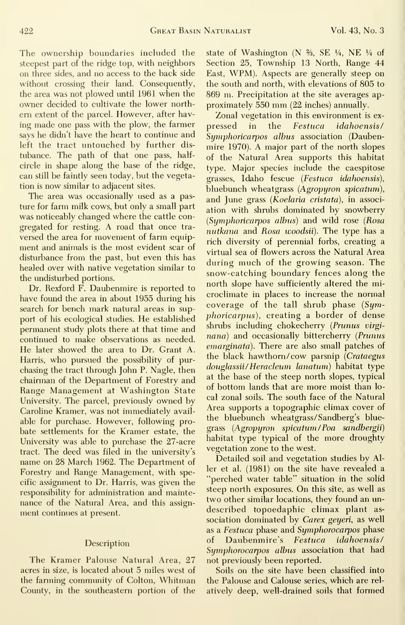The ownership boundaries included the steepest part of the ridge top, with neighbors on three sides, and no access to the back side without crossing their land. Consequently, the area was not plowed until 1961 when the owner decided to cultivate the lower north em extent of the parcel. However, after having made one pass with the plow, the farmer pressed in says he didn't have the heart to continue and left the tract untouched by further dis tubance. The path of that one pass, half circle in shape along the base of the ridge, can still be faintly seen today, but the vegetation is now similar to adjacent sites.

The area was occasionally used as a pasture for farm milk cows, but only a small part was noticeably changed where the cattle con gregated for resting. A road that once tra versed the area for movement of farm equipment and animals is the most evident scar of disturbance from the past, but even this has healed over with native vegetation similar to the undisturbed portions.

Dr. Rexford F. Daubenmire is reported to have found the area in about 1955 during his search for bench mark natural areas in support of his ecological studies. He established permanent study plots there at that time and continued to make observations as needed. He later showed the area to Dr. Grant A. Harris, who pursued the possibility of pur chasing the tract through John P. Nagle, then chairman of the Department of Forestry and Range Management at Washington State University. The parcel, previously owned by Caroline Kramer, was not immediately avail able for purchase. However, following pro bate settlements for the Kramer estate, the University was able to purchase the 27-acre tract. The deed was filed in the university's name on 28 March 1962. The Department of Forestry and Range Management, with specific assignment to Dr. Harris, was given the responsibility for administration and mainte nance of the Natural Area, and this assignment continues at present.

#### **Description**

The Kramer Palouse Natural Area, 27 acres in size, is located about 5 miles west of the farming community of Colton, Whitman County, in the southeastern portion of the

state of Washington (N %, SE V4, NE V4 of Section 25, Township 13 North, Range 44 East, WPM). Aspects are generally steep on the south and north, with elevations of 805 to 869 m. Precipitation at the site averages ap proximately <sup>550</sup> mm (22 inches) annually.

Zonal vegetation in this environment is exthe Festuca idahoensis/ Symphoricarpos albus association (Daubenmire 1970). A major part of the north slopes of the Natural Area supports this habitat type. Major species include the caespitose grasses, Idaho fescue {Festuca idahoensis), bluebunch wheatgrass  $(Ag_{\ell}$ and June grass ( $\overline{K}oelaria$  cristata), in association with shrubs dominated by snowberry {Symphoricarpos alhus) and wild rose {Rosa nutkana and Rosa woodsii). The type has a rich diversity of perennial forbs, creating a virtual sea of flowers across the Natural Area during much of the growing season. The snow-catching boundary fences along the north slope have sufficiently altered the microclimate in places to increase the normal coverage of the tall shrub phase  $(Sym$ phoricarpus), creating a border of dense shrubs including chokecherry (Prunus virginana) and occasionally bittercherry (Prunus emarginata). There are also small patches of the black hawthorn/cow parsnip {Crataegus douglassii/ Heracleum lanatum) habitat type at the base of the steep north slopes, typical of bottom lands that are more moist than lo cal zonal soils. The south face of the Natural Area supports a topographic climax cover of the bluebunch wheatgrass/ Sandberg's bluegrass {Agropyron spicatum /Foa sandhergii) habitat type typical of the more droughty vegetation zone to the west.

Detailed soil and vegetation studies by Aller et al. (1981) on the site have revealed a "perched water table" situation in the solid steep north exposures. On this site, as well as two other similar locations, they found an un described topoedaphic climax plant as sociation dominated by Carex geyeri, as well as a Festuca phase and Symphorocarpos phase of Daubenmire's Festuca idahoensis/ Symphorocarpos albus association that had not previously been reported.

Soils on the site have been classified into the Palouse and Calouse series, which are rel atively deep, well-drained soils that formed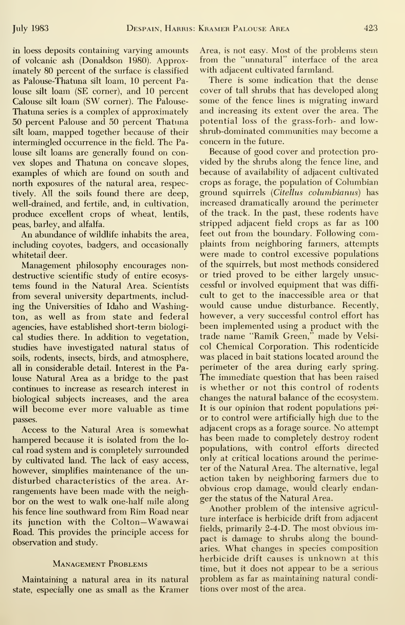in loess deposits containing varying amounts of volcanic ash (Donaldson 1980). Approximately 80 percent of the surface is classified as Palouse-Thatuna silt loam, 10 percent Palouse silt loam (SE comer), and 10 percent Calouse silt loam (SW corner). The Palouse-Thatuna series is a complex of approximately 50 percent Palouse and 50 percent Thatuna silt loam, mapped together because of their intermingled occurrence in the field. The Palouse silt loams are generally found on con vex slopes and Thatuna on concave slopes, examples of which are found on south and north exposures of the natural area, respectively. All the soils found there are deep, well-drained, and fertile, and, in cultivation, produce excellent crops of wheat, lentils, peas, barley, and alfalfa.

An abundance of wildlife inhabits the area, including coyotes, badgers, and occasionally whitetail deer.

Management philosophy encourages nondestructive scientific study of entire ecosys tems found in the Natural Area. Scientists from several university departments, including the Universities of Idaho and Washington, as well as from state and federal agencies, have established short-term biological studies there. In addition to vegetation, studies have investigated natural status of soils, rodents, insects, birds, and atmosphere, all in considerable detail. Interest in the Palouse Natural Area as a bridge to the past continues to increase as research interest in biological subjects increases, and the area will become ever more valuable as time passes.

Access to the Natural Area is somewhat hampered because it is isolated from the lo cal road system and is completely surrounded by cultivated land. The lack of easy access, however, simplifies maintenance of the un disturbed characteristics of the area. Ar rangements have been made with the neighbor on the west to walk one-half mile along his fence line southward from Rim Road near its junction with the Colton—Wawawai Road. This provides the principle access for observation and study.

## Management Problems

Maintaining a natural area in its natural state, especially one as small as the Kramer Area, is not easy. Most of the problems stem from the "unnatural" interface of the area with adjacent cultivated farmland.

There is some indication that the dense cover of tall shrubs that has developed along some of the fence lines is migrating inward and increasing its extent over the area. The potential loss of the grass-forb- and lowshrub-dominated communities may become a concern in the future.

Because of good cover and protection pro vided by the shrubs along the fence line, and because of availability of adjacent cultivated crops as forage, the population of Columbian ground squirrels (Citellus columhianus) has increased dramatically around the perimeter of the track. In the past, these rodents have stripped adjacent field crops as far as 100 feet out from the boundary. Following complaints from neighboring farmers, attempts were made to control excessive populations of the squirrels, but most methods considered or tried proved to be either largely unsuccessful or involved equipment that was diffi cult to get to the inaccessible area or that would cause undue disturbance. Recently, however, a very successful control effort has been implemented using a product with the trade name "Ramik Green," made by Velsi col Chemical Corporation. This rodenticide was placed in bait stations located around the perimeter of the area during early spring. The immediate question that has been raised is whether or not this control of rodents changes the natural balance of the ecosystem. It is our opinion that rodent populations pri or to control were artificially high due to the adjacent crops as <sup>a</sup> forage source. No attempt has been made to completely destroy rodent populations, with control efforts directed only at critical locations around the perimeter of the Natural Area. The alternative, legal action taken by neighboring farmers due to obvious crop damage, would clearly endanger the status of the Natural Area.

Another problem of the intensive agricul ture interface is herbicide drift from adjacent fields, primarily 2-4-D. The most obvious impact is damage to shrubs along the boundaries. What changes in species composition herbicide drift causes is unknown at this time, but it does not appear to be a serious problem as far as maintaining natural conditions over most of the area.